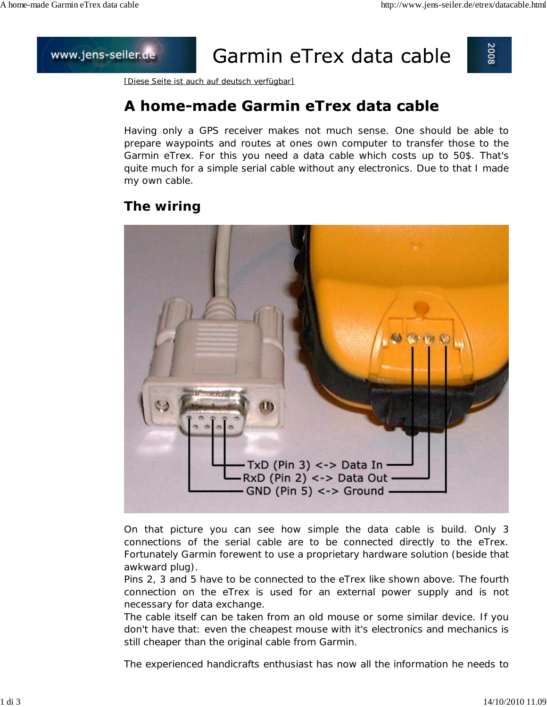## www.jens-seiler.de

# Garmin eTrex data cable



[Diese Seite ist auch auf deutsch verfügbar]

# A home-made Garmin eTrex data cable

Having only a GPS receiver makes not much sense. One should be able to prepare waypoints and routes at ones own computer to transfer those to the Garmin eTrex. For this you need a data cable which costs up to 50\$. That's quite much for a simple serial cable without any electronics. Due to that I made my own cable.

#### **The wiring**



On that picture you can see how simple the data cable is build. Only 3 connections of the serial cable are to be connected directly to the eTrex. Fortunately Garmin forewent to use a proprietary hardware solution (beside that awkward plug).

Pins 2, 3 and 5 have to be connected to the eTrex like shown above. The fourth connection on the eTrex is used for an external power supply and is not necessary for data exchange.

The cable itself can be taken from an old mouse or some similar device. If you don't have that: even the cheapest mouse with it's electronics and mechanics is still cheaper than the original cable from Garmin.

The experienced handicrafts enthusiast has now all the information he needs to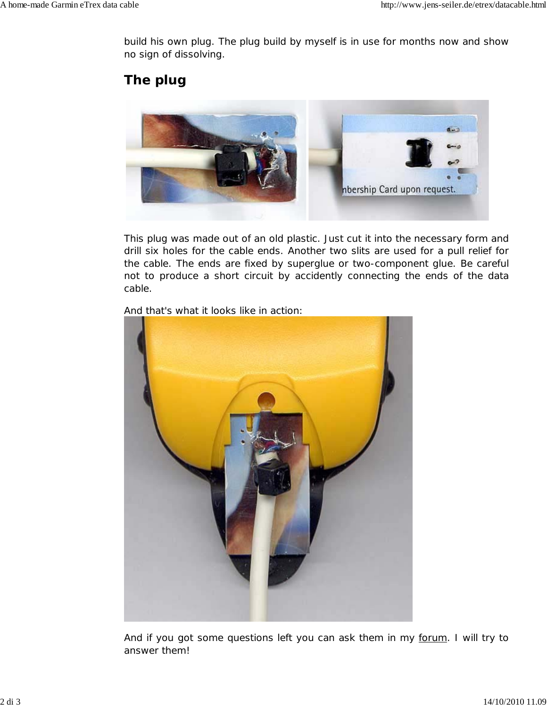build his own plug. The plug build by myself is in use for months now and show no sign of dissolving.

### **The plug**



This plug was made out of an old plastic. Just cut it into the necessary form and drill six holes for the cable ends. Another two slits are used for a pull relief for the cable. The ends are fixed by superglue or two-component glue. Be careful not to produce a short circuit by accidently connecting the ends of the data cable.



And that's what it looks like in action:

And if you got some questions left you can ask them in my forum. I will try to answer them!